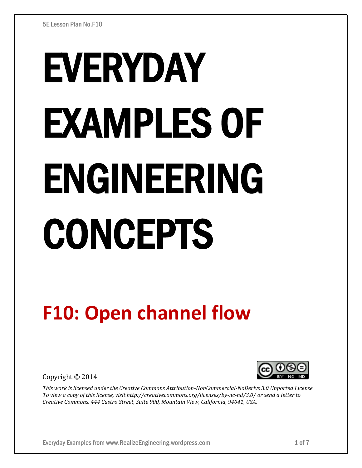# EVERYDAY EXAMPLES OF ENGINEERING CONCEPTS

# **F10: Open channel flow**

Copyright © 2014



*This work is licensed under the Creative Commons Attribution-NonCommercial-NoDerivs 3.0 Unported License. To view a copy of this license, visit http://creativecommons.org/licenses/by-nc-nd/3.0/ or send a letter to Creative Commons, 444 Castro Street, Suite 900, Mountain View, California, 94041, USA.*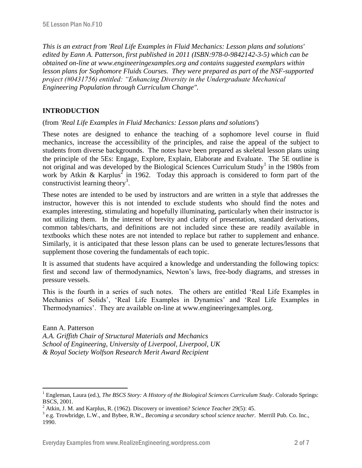*This is an extract from 'Real Life Examples in Fluid Mechanics: Lesson plans and solutions' edited by Eann A. Patterson, first published in 2011 (ISBN:978-0-9842142-3-5) which can be obtained on-line at www.engineeringexamples.org and contains suggested exemplars within lesson plans for Sophomore Fluids Courses. They were prepared as part of the NSF-supported project (#0431756) entitled: "Enhancing Diversity in the Undergraduate Mechanical Engineering Population through Curriculum Change".* 

# **INTRODUCTION**

 $\overline{a}$ 

(from *'Real Life Examples in Fluid Mechanics: Lesson plans and solutions'*)

These notes are designed to enhance the teaching of a sophomore level course in fluid mechanics, increase the accessibility of the principles, and raise the appeal of the subject to students from diverse backgrounds. The notes have been prepared as skeletal lesson plans using the principle of the 5Es: Engage, Explore, Explain, Elaborate and Evaluate. The 5E outline is not original and was developed by the Biological Sciences Curriculum Study<sup>1</sup> in the 1980s from work by Atkin & Karplus<sup>2</sup> in 1962. Today this approach is considered to form part of the constructivist learning theory<sup>3</sup>.

These notes are intended to be used by instructors and are written in a style that addresses the instructor, however this is not intended to exclude students who should find the notes and examples interesting, stimulating and hopefully illuminating, particularly when their instructor is not utilizing them. In the interest of brevity and clarity of presentation, standard derivations, common tables/charts, and definitions are not included since these are readily available in textbooks which these notes are not intended to replace but rather to supplement and enhance. Similarly, it is anticipated that these lesson plans can be used to generate lectures/lessons that supplement those covering the fundamentals of each topic.

It is assumed that students have acquired a knowledge and understanding the following topics: first and second law of thermodynamics, Newton's laws, free-body diagrams, and stresses in pressure vessels.

This is the fourth in a series of such notes. The others are entitled 'Real Life Examples in Mechanics of Solids', 'Real Life Examples in Dynamics' and 'Real Life Examples in Thermodynamics'. They are available on-line at www.engineeringexamples.org.

Eann A. Patterson *A.A. Griffith Chair of Structural Materials and Mechanics School of Engineering, University of Liverpool, Liverpool, UK & Royal Society Wolfson Research Merit Award Recipient*

<sup>1</sup> Engleman, Laura (ed.), *The BSCS Story: A History of the Biological Sciences Curriculum Study*. Colorado Springs: BSCS, 2001.

<sup>2</sup> Atkin, J. M. and Karplus, R. (1962). Discovery or invention? *Science Teacher* 29(5): 45.

<sup>3</sup> e.g. Trowbridge, L.W., and Bybee, R.W., *Becoming a secondary school science teacher*. Merrill Pub. Co. Inc., 1990.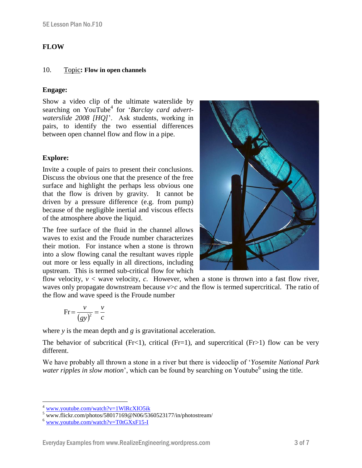# **FLOW**

#### 10. Topic**: Flow in open channels**

## **Engage:**

Show a video clip of the ultimate waterslide by searching on YouTube<sup>[4](http://www.youtube.com/watch?v=1WlRcXIO5ik)</sup> for '*Barclay card advertwaterslide 2008 [HQ]*'. Ask students, working in pairs, to identify the two essential differences between open channel flow and flow in a pipe.

# **Explore:**

Invite a couple of pairs to present their conclusions. Discuss the obvious one that the presence of the free surface and highlight the perhaps less obvious one that the flow is driven by gravity. It cannot be driven by a pressure difference (e.g. from pump) because of the negligible inertial and viscous effects of the atmosphere above the liquid.<sup>5</sup>

The free surface of the fluid in the channel allows waves to exist and the Froude number characterizes their motion. For instance when a stone is thrown into a slow flowing canal the resultant waves ripple out more or less equally in all directions, including upstream. This is termed sub-critical flow for which

flow velocity,  $v <$  wave velocity,  $c$ . However, when a stone is thrown into a fast flow river, waves only propagate downstream because  $v>c$  and the flow is termed supercritical. The ratio of the flow and wave speed is the Froude number

$$
Fr = \frac{v}{\left(gy\right)^2} = \frac{v}{c}
$$

where *y* is the mean depth and *g* is gravitational acceleration.

The behavior of subcritical (Fr<1), critical (Fr=1), and supercritical (Fr>1) flow can be very different.

We have probably all thrown a stone in a river but there is videoclip of '*Yosemite National Park*  water ripples in slow motion', which can be found by searching on Youtube<sup>6</sup> using the title.

 $\overline{a}$ 



<sup>4</sup> [www.youtube.com/watch?v=1WlRcXIO5ik](http://www.youtube.com/watch?v=1WlRcXIO5ik)

 $5 \frac{\text{www. flickr.com/photos/58017169@N06/5360523177/in/photostream/}}{8 \text{www. flickr.com/photos/58017169@N06/5360523177/in/photostream/}}$ 

<sup>6</sup> [www.youtube.com/watch?v=T0tGXxF15-I](http://www.youtube.com/watch?v=T0tGXxF15-I)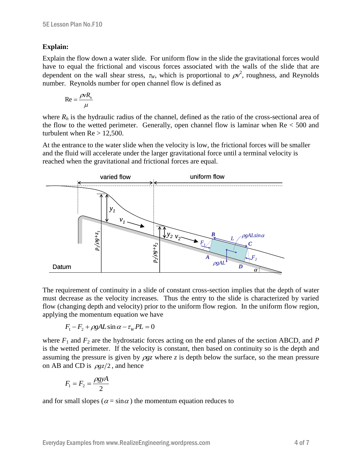### **Explain:**

Explain the flow down a water slide. For uniform flow in the slide the gravitational forces would have to equal the frictional and viscous forces associated with the walls of the slide that are dependent on the wall shear stress,  $\tau_W$ , which is proportional to  $\rho v^2$ , roughness, and Reynolds number. Reynolds number for open channel flow is defined as

$$
\text{Re} = \frac{\rho v R_h}{\mu}
$$

where  $R_h$  is the hydraulic radius of the channel, defined as the ratio of the cross-sectional area of the flow to the wetted perimeter. Generally, open channel flow is laminar when  $Re < 500$  and turbulent when  $Re > 12,500$ .

At the entrance to the water slide when the velocity is low, the frictional forces will be smaller and the fluid will accelerate under the larger gravitational force until a terminal velocity is reached when the gravitational and frictional forces are equal.



The requirement of continuity in a slide of constant cross-section implies that the depth of water must decrease as the velocity increases. Thus the entry to the slide is characterized by varied flow (changing depth and velocity) prior to the uniform flow region. In the uniform flow region, applying the momentum equation we have

$$
F_1 - F_2 + \rho g A L \sin \alpha - \tau_w PL = 0
$$

where  $F_1$  and  $F_2$  are the hydrostatic forces acting on the end planes of the section ABCD, and *P* is the wetted perimeter. If the velocity is constant, then based on continuity so is the depth and assuming the pressure is given by  $\rho gz$  where *z* is depth below the surface, so the mean pressure on AB and CD is  $\rho gz/2$ , and hence

$$
F_1 = F_2 = \frac{\rho g y A}{2}
$$

and for small slopes ( $\alpha = \sin \alpha$ ) the momentum equation reduces to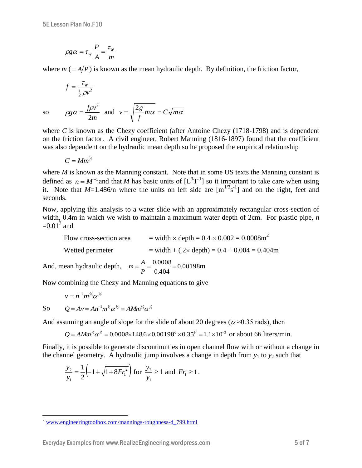$$
\rho g \alpha = \tau_w \frac{P}{A} = \frac{\tau_w}{m}
$$

where  $m = A/P$ ) is known as the mean hydraulic depth. By definition, the friction factor,

$$
f = \frac{\tau_w}{\frac{1}{2}\rho v^2}
$$

so *m*  $gg \alpha = \frac{f \rho v}{g}$ 2  $\rho g \alpha = \frac{f \rho v^2}{2}$  and  $v = \sqrt{\frac{2g}{m}} m \alpha = C \sqrt{m \alpha}$ *f*  $v = \sqrt{\frac{2g}{\hat{g}}} m\alpha =$ 

where *C* is known as the Chezy coefficient (after Antoine Chezy (1718-1798) and is dependent on the friction factor. A civil engineer, Robert Manning (1816-1897) found that the coefficient was also dependent on the hydraulic mean depth so he proposed the empirical relationship

$$
C=Mm^{\frac{1}{6}}
$$

where *M* is known as the Manning constant. Note that in some US texts the Manning constant is defined as  $n = M^{-1}$  and that *M* has basic units of  $[L^{3}T^{-1}]$  so it important to take care when using it. Note that  $M=1.486/n$  where the units on left side are  $[m^{1/3} s^{-1}]$  and on the right, feet and seconds.

Now, applying this analysis to a water slide with an approximately rectangular cross-section of width, 0.4m in which we wish to maintain a maximum water depth of 2cm. For plastic pipe, *n*   $=0.01^7$  and

Flow cross-section area  $=$  width  $\times$  depth  $= 0.4 \times 0.002 = 0.0008$ m<sup>2</sup> Wetted perimeter  $= \text{width} + (2 \times \text{depth}) = 0.4 + 0.004 = 0.404 \text{m}$ And, mean hydraulic depth,  $m = \frac{A}{R} = \frac{0.0000}{0.00198} = 0.00198$ 0.404  $=\frac{A}{B}=\frac{0.0008}{0.0008}=$ *P*  $m = \frac{A}{R} = \frac{0.0008}{0.00198} = 0.00198m$ 

Now combining the Chezy and Manning equations to give

 $\nu = n^{-1} m^{2/3} \alpha^{1/2}$  $Q = Av = An^{-1}m^{\frac{2}{3}}\alpha^{\frac{1}{2}} \equiv AMm^{\frac{2}{3}}\alpha^{\frac{1}{2}}$ 

So

 $\overline{a}$ 

And assuming an angle of slope for the slide of about 20 degrees ( $\alpha \approx 0.35$  rads), then

 $Q = AMm^{3/2}\alpha^{1/2} = 0.0008 \times 148.6 \times 0.00198^{2/3} \times 0.35^{1/2} = 1.1 \times 10^{-3}$  or about 66 liters/min.

Finally, it is possible to generate discontinuities in open channel flow with or without a change in the channel geometry. A hydraulic jump involves a change in depth from  $y_1$  to  $y_2$  such that

$$
\frac{y_2}{y_1} = \frac{1}{2} \left( -1 + \sqrt{1 + 8Fr_1^2} \right) \text{ for } \frac{y_2}{y_1} \ge 1 \text{ and } Fr_1 \ge 1.
$$

<sup>&</sup>lt;sup>7</sup> [www.engineeringtoolbox.com/mannings-roughness-d\\_799.html](http://www.engineeringtoolbox.com/mannings-roughness-d_799.html)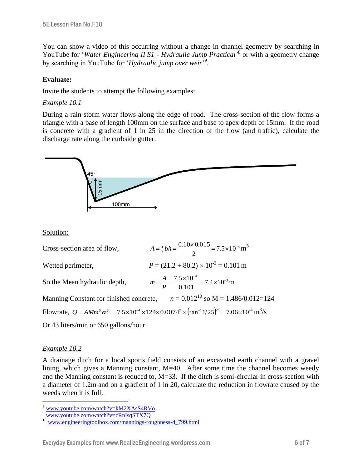You can show a video of this occurring without a change in channel geometry by searching in YouTube for 'Water Engineering II S1 - Hydraulic Jump Practical<sup>,8</sup> or with a geometry change by searching in YouTube for '*Hydraulic jump over weir*<sup>59</sup>.

# **Evaluate:**

Invite the students to attempt the following examples:

### *Example 10.1*

During a rain storm water flows along the edge of road. The cross-section of the flow forms a triangle with a base of length 100mm on the surface and base to apex depth of 15mm. If the road is concrete with a gradient of 1 in 25 in the direction of the flow (and traffic), calculate the discharge rate along the curbside gutter.



#### Solution:

| Cross-section area of flow,                                                                                                                                         | $A = \frac{1}{2}bh = \frac{0.10 \times 0.015}{2} = 7.5 \times 10^{-4} \text{ m}^3$ |
|---------------------------------------------------------------------------------------------------------------------------------------------------------------------|------------------------------------------------------------------------------------|
| Wetted perimeter,                                                                                                                                                   | $P = (21.2 + 80.2) \times 10^{-3} = 0.101$ m                                       |
| So the Mean hydraulic depth,                                                                                                                                        | $m = \frac{A}{P} = \frac{7.5 \times 10^{-4}}{0.101} = 7.4 \times 10^{-3}$ m        |
| Manning Constant for finished concrete, $n = 0.012^{10}$ so M = 1.486/0.012=124                                                                                     |                                                                                    |
| Flowrate, $Q = AMm^{3/2} \alpha^{1/2} = 7.5 \times 10^{-4} \times 124 \times 0.0074^{3/2} \times (\tan^{-1} 1/25)^{1/2} = 7.06 \times 10^{-4} \text{ m}^3/\text{s}$ |                                                                                    |
| Or 43 liters/min or 650 gallons/hour.                                                                                                                               |                                                                                    |

### *Example 10.2*

 $\overline{a}$ 

A drainage ditch for a local sports field consists of an excavated earth channel with a gravel lining, which gives a Manning constant, M=40. After some time the channel becomes weedy and the Manning constant is reduced to,  $M=33$ . If the ditch is semi-circular in cross-section with a diameter of 1.2m and on a gradient of 1 in 20, calculate the reduction in flowrate caused by the weeds when it is full.

<sup>8</sup> [www.youtube.com/watch?v=kM2XAsS4RVo](http://www.youtube.com/watch?v=kM2XAsS4RVo)

<sup>9</sup> [www.youtube.com/watch?v=cRnIsqSTX7Q](http://www.youtube.com/watch?v=cRnIsqSTX7Q)

<sup>&</sup>lt;sup>10</sup> [www.engineeringtoolbox.com/mannings-roughness-d\\_799.html](http://www.engineeringtoolbox.com/mannings-roughness-d_799.html)